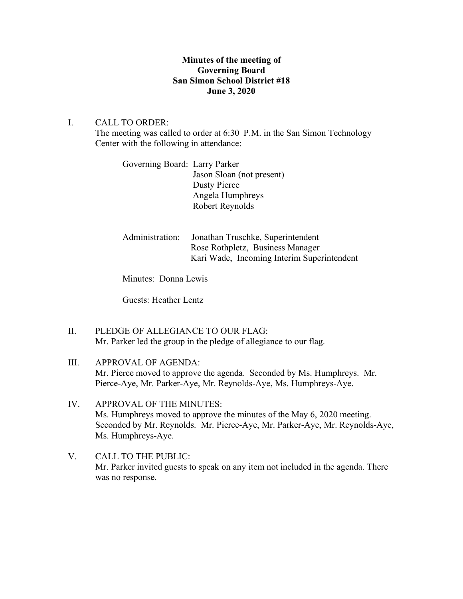# **Minutes of the meeting of Governing Board San Simon School District #18 June 3, 2020**

# I. CALL TO ORDER:

The meeting was called to order at 6:30 P.M. in the San Simon Technology Center with the following in attendance:

| Governing Board: Larry Parker |                           |
|-------------------------------|---------------------------|
|                               | Jason Sloan (not present) |
|                               | Dusty Pierce              |
|                               | Angela Humphreys          |
|                               | Robert Reynolds           |
|                               |                           |

| Administration: | Jonathan Truschke, Superintendent          |  |
|-----------------|--------------------------------------------|--|
|                 | Rose Rothpletz, Business Manager           |  |
|                 | Kari Wade, Incoming Interim Superintendent |  |

Minutes: Donna Lewis

Guests: Heather Lentz

- II. PLEDGE OF ALLEGIANCE TO OUR FLAG: Mr. Parker led the group in the pledge of allegiance to our flag.
- III. APPROVAL OF AGENDA: Mr. Pierce moved to approve the agenda. Seconded by Ms. Humphreys. Mr. Pierce-Aye, Mr. Parker-Aye, Mr. Reynolds-Aye, Ms. Humphreys-Aye.
- IV. APPROVAL OF THE MINUTES: Ms. Humphreys moved to approve the minutes of the May 6, 2020 meeting. Seconded by Mr. Reynolds. Mr. Pierce-Aye, Mr. Parker-Aye, Mr. Reynolds-Aye, Ms. Humphreys-Aye.
- V. CALL TO THE PUBLIC: Mr. Parker invited guests to speak on any item not included in the agenda. There was no response.